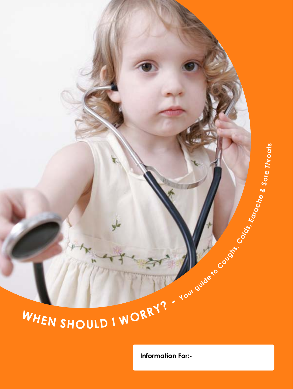# WHEN SHOULD I WORRY? - Your guide to conserve the contraction

**Information For:-**

**& Sore**

**T hro**

**ats**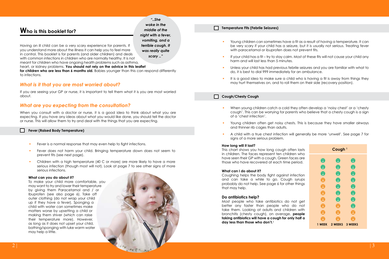# **Who is this booklet for?**

*"..She woke in the middle of the night with a fever, vomiting, and a terrible cough. It was really quite scary .."*

Having an ill child can be a very scary experience for parents. If you understand more about the illness it can help you to feel more in control. This booklet is for parents (and older children) and deals with common infections in children who are normally healthy. It is not meant for children who have ongoing health problems such as asthma,

heart, or kidney problems. **You should not rely on the advice in this leaflet** 

**for children who are less than 6 months old.** Babies younger than this can respond differently to infections.

# *What is it that you are most worried about?*

If you are seeing your GP or nurse, it is important to tell them what it is you are most worried about.

# *What are you expecting from the consultation?*

When you consult with a doctor or nurse, it is a good idea to think about what you are expecting. If you have any ideas about what you would like done, you should tell the doctor or nurse. This will allow them to try and deal with the things that you are expecting.

### **Fever (Raised Body Temperature)**

- Fever is a normal response that may even help to fight infections.
- Fever does not harm your child. Bringing temperature down does not seem to prevent fits (see next page).
- Children with a high temperature (40 C or more) are more likely to have a more serious infection (though most will not). Look at page 7 to see other signs of more serious infections.

### **What can you do about it?**

To make your child more comfortable, you may want to try and lower their temperature by giving them Paracetamol and / or Ibuprofen (see also page 6). Take off outer clothing (do not wrap your child up if they have a fever). Sponging a child with water can sometimes make matters worse by upsetting a child or making them shiver (which can raise their temperature more). However, as long as it does not upset your child, bathing/sponging with luke warm water may help a little.



### **Temperature Fits (Febrile Seizures)**

- Young children can sometimes have a fit as a result of having a temperature. It can be very scary if your child has a seizure, but it is usually not serious. Treating fever with paracetamol or ibuprofen does not prevent fits.
- If your child has a fit try to stay calm. Most of these fits will not cause your child any harm and will last less than 5 minutes.
- Unless your child has had previous febrile seizures and you are familiar with what to do, it is best to dial 999 immediately for an ambulance.
- It is a good idea to make sure a child who is having a fit is away from things they may hurt themselves on, and to roll them on their side (recovery position).

### **Cough/Chesty Cough**

- When young children catch a cold they often develop a 'noisy chest' or a 'chesty cough'. This can be worrying for parents who believe that a chesty cough is a sign of a 'chest infection'.
- Young children often get noisy chests. This is because they have smaller airways and thinner rib cages than adults.
- A child with a true chest infection will generally be more 'unwell'. See page 7 for signs of a more serious problem.

### **How long will it last?**

This chart shows you how long cough often lasts in children. The faces represent ten children who have seen their GP with a cough. Green faces are those who have recovered at each time period.

### **What can I do about it?**

Coughing helps the body fight against infection and can take a while to go. Cough syrups probably do not help. See page 6 for other things that may help.

### **Do antibiotics help?**

Most people who take antibiotics do not get better any faster than people who do not take them. Looking at adults and children with bronchitis (chesty cough), on average, **people taking antibiotics will have a cough for only half a day less than those who don't.**<sup>2</sup>

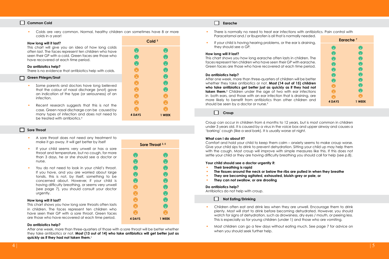### **Common Cold**

 Colds are very common. Normal, healthy children can sometimes have 8 or more colds in a year!

# **How long will it last?**

This chart will give you an idea of how long colds often last. The faces represent ten children who have seen their GP with a cold. Green faces are those who have recovered at each time period.

### **Do antibiotics help?**

There is no evidence that antibiotics help with colds.

### П **Green Phlegm/Snot**

- Some parents and doctors have long believed that the colour of nasal discharge (snot) gave an indication of the type (or seriousness) of an infection.
- Recent research suggests that this is not the case. Green nasal discharge can be caused by many types of infection and does not need to be treated with antibiotics.4

### **Sore Throat**

- A sore throat does not need any treatment to make it go away. It will get better by itself
- If your child seems very unwell or has a sore throat and temperature, but no cough, for more than 3 days, he or she should see a doctor or nurse.
- You do not need to look in your child's throat. If you have, and you are worried about large tonsils, this is not, by itself, something to be concerned about. However, if your child is having difficulty breathing, or seems very unwell (see page 7), you should consult your doctor urgently.

### **How long will it last?**

This chart shows you how long sore throats often lasts in children. The faces represent ten children who have seen their GP with a sore throat. Green faces are those who have recovered at each time period.

### **Do antibiotics help?**

After one week, more than three-quarters of those with a sore throat will be better whether they take antibiotics or not. **Most (13 out of 14) who take antibiotics will get better just as quickly as if they had not taken them.**<sup>6</sup>

| Sore Throat 3, 5 |                  |
|------------------|------------------|
| $\boldsymbol{6}$ | $\boldsymbol{6}$ |
| $\bullet$        | $\bullet$        |
| $\bullet$        | $\bullet$        |
| $\bullet$        | $\bullet$        |
| $\bf 6$          | $\bullet$        |
| X                | $\bullet$        |
| T                | $\mathbf{C}$     |
| V                | 0                |
| V                | U                |

**4 DAYS 1 WEEK**

 $\bullet$ 

A

**Cold 3**

 $\bullet$ 

 $\boldsymbol{\theta}$ 

 $\boldsymbol{\Theta}$ 

 $\boldsymbol{\Theta}$ 

 $\bullet$ 

 $\bullet$ 

 $\bullet$ 

A

A

A

 $\bullet$ 

 $\mathbf{c}$ 

 $\bullet$ 

A

A

A

8

A

A

 $\bullet$ 

**4 DAYS 1 WEEK**

### **Earache Earache**

- There is normally no need to treat ear infections with antibiotics. Pain control with Paracetamol and / or Ibuprofen is all that is normally needed.
- If your child is having hearing problems, or the ear is draining they should see a GP.

### **How long will it last?**

This chart shows you how long earache often lasts in children. The faces represent ten children who have seen their GP with earach Green faces are those who have recovered at each time period

### **Do antibiotics help?**

After one week, more than three-quarters of children will be better whether they take antibiotics or not. **Most (14 out of 15) childre** who take antibiotics get better just as quickly as if they had n **taken them.**<sup>8</sup> Children under the age of two with ear infection in both ears, and those with an ear infection that is draining, are more likely to benefit from antibiotics than other children are should be seen by a doctor or nurse.<sup>9</sup>

| s,<br>10 |  |
|----------|--|
|          |  |

Croup can occur in children from 6 months to 12 years, but is most common in children under 3 years old. It is caused by a virus in the voice box and upper airway and causes a 'barking' cough (like a seal bark). It is usually worse at night.

### **What can I do about it?**

Comfort and hold your child to keep them calm – anxiety seems to make croup worse. Give your child sips to drink to prevent dehydration. Sitting your child up may help them with the cough. Most croup will improve with simple measures like this. If this does not settle your child or they are having difficulty breathing you should call for help (see p.8).

## **Your child should see a doctor urgently if:**

- **Their breathing is rapid**
- **The tissues around the neck or below the ribs are pulled in when they breathe**
- **They are becoming agitated, exhausted, bluish-grey or pale, or**
- **They can not swallow, or are drooling**

### **Do antibiotics help?**

Antibiotics do not help with croup.

# **Not Eating/Drinking**

- Children often eat and drink less when they are unwell. Encourage them to drink plenty. Most will start to drink before becoming dehydrated. However, you should watch for signs of dehydration, such as drowsiness, dry eyes / mouth, or peeing less. This is especially so for young children (under 1) and those who are vomiting.
- Most children can go a few days without eating much. See page 7 for advice on when you should seek further help.

| а.       | Earache <sup>7</sup> |           |
|----------|----------------------|-----------|
| g,       | $\bullet$            | $\bullet$ |
|          | $\bullet$            | $\bullet$ |
| ٦e       | $\bullet$            | $\bullet$ |
| e.<br>d. | $\bullet$            | $\bullet$ |
|          | $\bullet$            | $\bullet$ |
|          | $\bullet$            | $\bullet$ |
| er       | $\bullet$            | $\bullet$ |
| ∍n<br>ot | A                    | $\bullet$ |
| ns       | 図                    | $\bm{6}$  |
| re       | Ŧ.                   | ¥         |
| ١d       | <b>4 DAYS</b>        | 1 WEEK    |
|          |                      |           |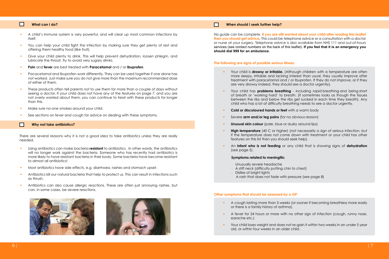### **What can I do?**

 $\Box$ 

### **When should I seek further help?**

 $\Box$ 

- A child's immune system is very powerful, and will clear up most common infections by itself.
- You can help your child fight the infection by making sure they get plenty of rest and offering them healthy food (like fruit).
- Give your child plenty to drink. This will help prevent dehydration, loosen phlegm, and lubricate the throat. Try to avoid very sugary drinks.
- **Pain** and **fever** are best treated with **Paracetamol** and / or **Ibuprofen**.
- Pacacetamol and Ibuprofen work differently. They can be used together if one alone has not worked. Just make sure you do not give more than the maximum recommended dose of either of them.
- These products often tell parents not to use them for more than a couple of days without seeing a doctor. If your child does not have any of the features on page 7, and you are not overly worried about them, you can continue to treat with these products for longer than this.
- Make sure no-one smokes around your child.
- See sections on fever and cough for advice on dealing with these symptoms.

### ┏ **Why not take antibiotics?**

There are several reasons why it is not a good idea to take antibiotics unless they are really needed.

- Using antibiotics can make bacteria **resistant** to antibiotics. In other words, the antibiotics will no longer work against the bacteria. Someone who has recently had antibiotics is more likely to have resistant bacteria in their body. Some bacteria have become resistant to almost all antibiotics!
- Most antibiotics have side effects, e.g. diarrhoea, rashes and stomach upset.
- Antibiotics kill our natural bacteria that help to protect us. This can result in infections such as thrush.
- Antibiotics can also cause allergic reactions. These are often just annoying rashes, but can, in some cases, be severe reactions.





No guide can be complete. **If you are still worried about your child after reading this leaflet then you should get advice.** This could be telephone advice or a consultation with a doctor or nurse at your surgery. Telephone advice is also available from NHS 111 and out-of-hours services (see contact numbers on the back of this leaflet). **If you feel that it is an emergency you should dial 999 for an ambulance.**

### **The following are signs of possible serious illness:**

- Your child is **drowsy or irritable.** (Although children with a temperature are often more sleepy, irritable and lacking interest than usual, they usually improve after treatment with paracetamol and / or Ibuprofen. If they do not improve, or if they are very drowsy indeed, they should see a doctor urgently).
- Your child has **problems breathing** including rapid breathing and being short of breath or 'working hard' to breath. (It sometimes looks as though the tissues between the ribs and below the ribs get sucked in each time they breath). Any child who has a lot of difficulty breathing needs to see a doctor urgently.
- **Cold or discoloured hands or feet** with a warm body
- Severe **arm and/or leg pains** (for no obvious reason)
- **Unusual skin colour** (pale, blue or dusky around lips)
- **High temperature** (40 C or higher) (not necessarily a sign of serious infection, but if the temperature does not come down with treatment or your child has other features on this list then you should seek help).
- An **infant who is not feeding** or any child that is showing signs of **dehydration** (see page 5).

### **Symptoms related to meningitis:**

- Unusually severe headache
- A stiff neck (difficulty putting chin to chest)
- Dislike of briaht lights
- A rash that does not fade with pressure (see page 8)

### **Other symptoms that should be assessed by a GP:**

- A cough lasting more than 3 weeks (or sooner if becoming breathless more easily or there is a family history of asthma).
- A fever for 24 hours or more with no other sign of infection (cough, runny nose, earache etc.)
- Your child loses weight and does not re-gain it within two weeks in an under 5 year old, or within four weeks in an older child.